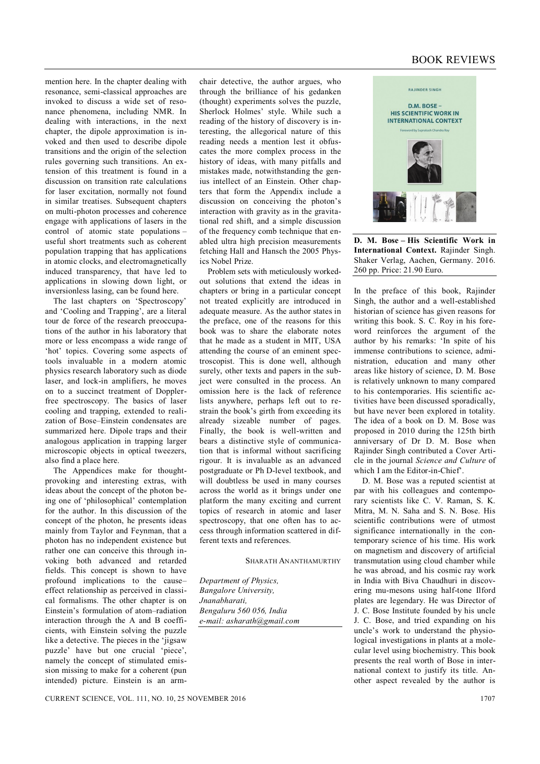## BOOK REVIEWS

mention here. In the chapter dealing with resonance, semi-classical approaches are invoked to discuss a wide set of resonance phenomena, including NMR. In dealing with interactions, in the next chapter, the dipole approximation is invoked and then used to describe dipole transitions and the origin of the selection rules governing such transitions. An extension of this treatment is found in a discussion on transition rate calculations for laser excitation, normally not found in similar treatises. Subsequent chapters on multi-photon processes and coherence engage with applications of lasers in the control of atomic state populations – useful short treatments such as coherent population trapping that has applications in atomic clocks, and electromagnetically induced transparency, that have led to applications in slowing down light, or inversionless lasing, can be found here.

The last chapters on 'Spectroscopy' and 'Cooling and Trapping', are a literal tour de force of the research preoccupations of the author in his laboratory that more or less encompass a wide range of 'hot' topics. Covering some aspects of tools invaluable in a modern atomic physics research laboratory such as diode laser, and lock-in amplifiers, he moves on to a succinct treatment of Dopplerfree spectroscopy. The basics of laser cooling and trapping, extended to realization of Bose–Einstein condensates are summarized here. Dipole traps and their analogous application in trapping larger microscopic objects in optical tweezers, also find a place here.

The Appendices make for thoughtprovoking and interesting extras, with ideas about the concept of the photon being one of 'philosophical' contemplation for the author. In this discussion of the concept of the photon, he presents ideas mainly from Taylor and Feynman, that a photon has no independent existence but rather one can conceive this through invoking both advanced and retarded fields. This concept is shown to have profound implications to the cause– effect relationship as perceived in classical formalisms. The other chapter is on Einstein's formulation of atom–radiation interaction through the A and B coefficients, with Einstein solving the puzzle like a detective. The pieces in the 'jigsaw puzzle' have but one crucial 'piece', namely the concept of stimulated emission missing to make for a coherent (pun intended) picture. Einstein is an armchair detective, the author argues, who through the brilliance of his gedanken (thought) experiments solves the puzzle, Sherlock Holmes' style. While such a reading of the history of discovery is interesting, the allegorical nature of this reading needs a mention lest it obfuscates the more complex process in the history of ideas, with many pitfalls and mistakes made, notwithstanding the genius intellect of an Einstein. Other chapters that form the Appendix include a discussion on conceiving the photon's interaction with gravity as in the gravitational red shift, and a simple discussion of the frequency comb technique that enabled ultra high precision measurements fetching Hall and Hansch the 2005 Physics Nobel Prize.

Problem sets with meticulously workedout solutions that extend the ideas in chapters or bring in a particular concept not treated explicitly are introduced in adequate measure. As the author states in the preface, one of the reasons for this book was to share the elaborate notes that he made as a student in MIT, USA attending the course of an eminent spectroscopist. This is done well, although surely, other texts and papers in the subject were consulted in the process. An omission here is the lack of reference lists anywhere, perhaps left out to restrain the book's girth from exceeding its already sizeable number of pages. Finally, the book is well-written and bears a distinctive style of communication that is informal without sacrificing rigour. It is invaluable as an advanced postgraduate or Ph D-level textbook, and will doubtless be used in many courses across the world as it brings under one platform the many exciting and current topics of research in atomic and laser spectroscopy, that one often has to access through information scattered in different texts and references.

SHARATH ANANTHAMURTHY

*Department of Physics, Bangalore University, Jnanabharati, Bengaluru 560 056, India e-mail: asharath@gmail.com*



**D. M. Bose – His Scientific Work in International Context.** Rajinder Singh. Shaker Verlag, Aachen, Germany. 2016. 260 pp. Price: 21.90 Euro.

In the preface of this book, Rajinder Singh, the author and a well-established historian of science has given reasons for writing this book. S. C. Roy in his foreword reinforces the argument of the author by his remarks: 'In spite of his immense contributions to science, administration, education and many other areas like history of science, D. M. Bose is relatively unknown to many compared to his contemporaries. His scientific activities have been discussed sporadically, but have never been explored in totality. The idea of a book on D. M. Bose was proposed in 2010 during the 125th birth anniversary of Dr D. M. Bose when Rajinder Singh contributed a Cover Article in the journal *Science and Culture* of which I am the Editor-in-Chief'.

D. M. Bose was a reputed scientist at par with his colleagues and contemporary scientists like C. V. Raman, S. K. Mitra, M. N. Saha and S. N. Bose. His scientific contributions were of utmost significance internationally in the contemporary science of his time. His work on magnetism and discovery of artificial transmutation using cloud chamber while he was abroad, and his cosmic ray work in India with Biva Chaudhuri in discovering mu-mesons using half-tone Ilford plates are legendary. He was Director of J. C. Bose Institute founded by his uncle J. C. Bose, and tried expanding on his uncle's work to understand the physiological investigations in plants at a molecular level using biochemistry. This book presents the real worth of Bose in international context to justify its title. Another aspect revealed by the author is